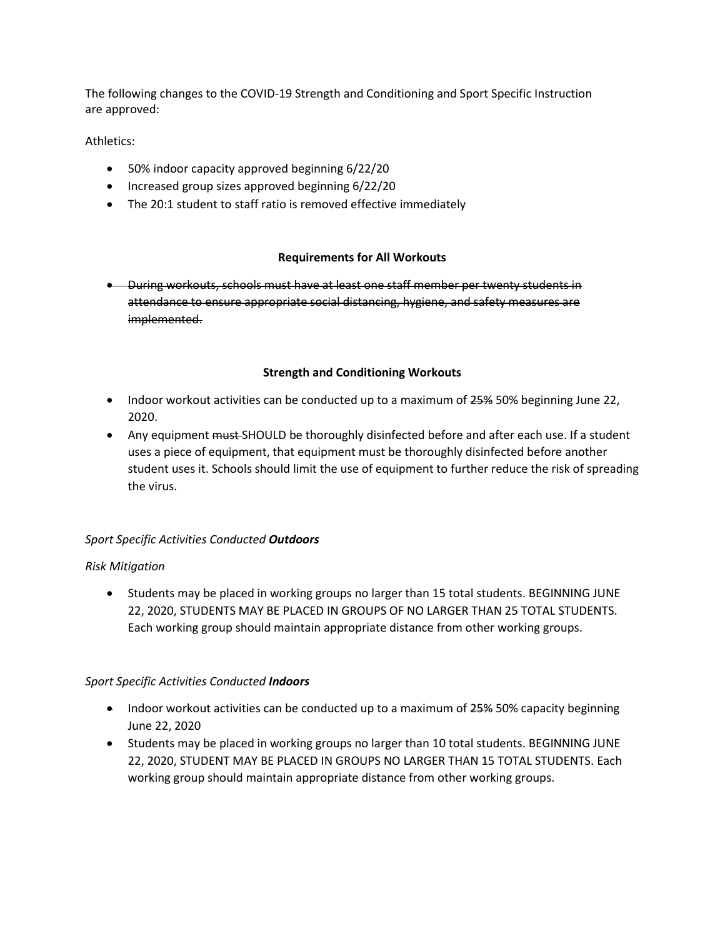The following changes to the COVID-19 Strength and Conditioning and Sport Specific Instruction are approved:

### Athletics:

- 50% indoor capacity approved beginning 6/22/20
- Increased group sizes approved beginning 6/22/20
- The 20:1 student to staff ratio is removed effective immediately

### **Requirements for All Workouts**

• During workouts, schools must have at least one staff member per twenty students in attendance to ensure appropriate social distancing, hygiene, and safety measures are implemented.

### **Strength and Conditioning Workouts**

- Indoor workout activities can be conducted up to a maximum of 25% 50% beginning June 22, 2020.
- Any equipment must-SHOULD be thoroughly disinfected before and after each use. If a student uses a piece of equipment, that equipment must be thoroughly disinfected before another student uses it. Schools should limit the use of equipment to further reduce the risk of spreading the virus.

# *Sport Specific Activities Conducted Outdoors*

#### *Risk Mitigation*

• Students may be placed in working groups no larger than 15 total students. BEGINNING JUNE 22, 2020, STUDENTS MAY BE PLACED IN GROUPS OF NO LARGER THAN 25 TOTAL STUDENTS. Each working group should maintain appropriate distance from other working groups.

#### *Sport Specific Activities Conducted Indoors*

- Indoor workout activities can be conducted up to a maximum of 25% 50% capacity beginning June 22, 2020
- Students may be placed in working groups no larger than 10 total students. BEGINNING JUNE 22, 2020, STUDENT MAY BE PLACED IN GROUPS NO LARGER THAN 15 TOTAL STUDENTS. Each working group should maintain appropriate distance from other working groups.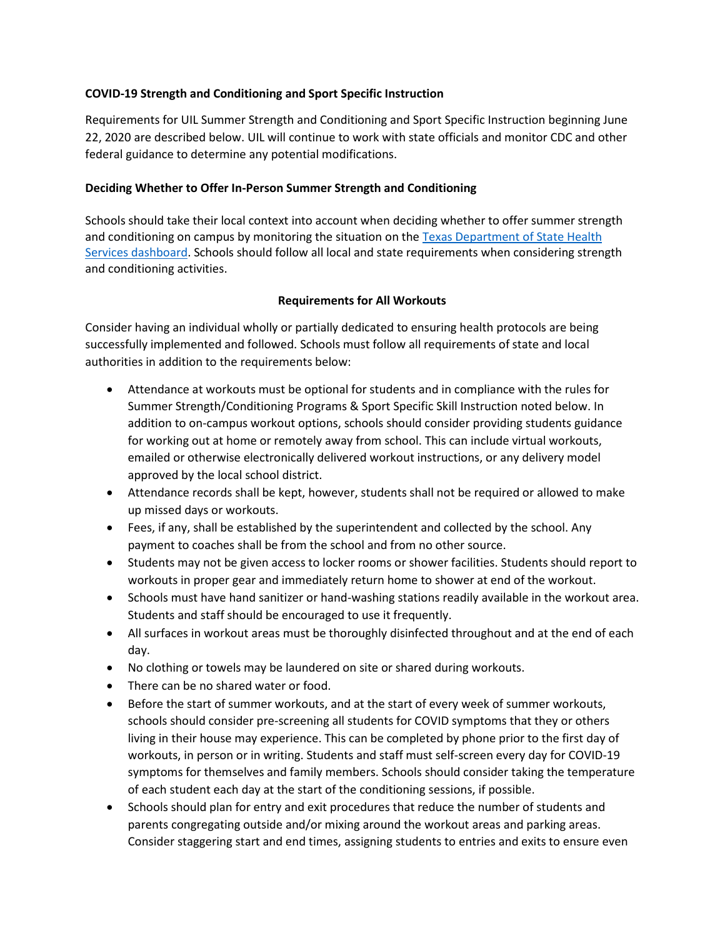### **COVID-19 Strength and Conditioning and Sport Specific Instruction**

Requirements for UIL Summer Strength and Conditioning and Sport Specific Instruction beginning June 22, 2020 are described below. UIL will continue to work with state officials and monitor CDC and other federal guidance to determine any potential modifications.

### **Deciding Whether to Offer In-Person Summer Strength and Conditioning**

Schools should take their local context into account when deciding whether to offer summer strength and conditioning on campus by monitoring the situation on the [Texas Department of State Health](https://txdshs.maps.arcgis.com/apps/opsdashboard/index.html#/ed483ecd702b4298ab01e8b9cafc8b83)  [Services dashboard.](https://txdshs.maps.arcgis.com/apps/opsdashboard/index.html#/ed483ecd702b4298ab01e8b9cafc8b83) Schools should follow all local and state requirements when considering strength and conditioning activities.

### **Requirements for All Workouts**

Consider having an individual wholly or partially dedicated to ensuring health protocols are being successfully implemented and followed. Schools must follow all requirements of state and local authorities in addition to the requirements below:

- Attendance at workouts must be optional for students and in compliance with the rules for Summer Strength/Conditioning Programs & Sport Specific Skill Instruction noted below. In addition to on-campus workout options, schools should consider providing students guidance for working out at home or remotely away from school. This can include virtual workouts, emailed or otherwise electronically delivered workout instructions, or any delivery model approved by the local school district.
- Attendance records shall be kept, however, students shall not be required or allowed to make up missed days or workouts.
- Fees, if any, shall be established by the superintendent and collected by the school. Any payment to coaches shall be from the school and from no other source.
- Students may not be given access to locker rooms or shower facilities. Students should report to workouts in proper gear and immediately return home to shower at end of the workout.
- Schools must have hand sanitizer or hand-washing stations readily available in the workout area. Students and staff should be encouraged to use it frequently.
- All surfaces in workout areas must be thoroughly disinfected throughout and at the end of each day.
- No clothing or towels may be laundered on site or shared during workouts.
- There can be no shared water or food.
- Before the start of summer workouts, and at the start of every week of summer workouts, schools should consider pre-screening all students for COVID symptoms that they or others living in their house may experience. This can be completed by phone prior to the first day of workouts, in person or in writing. Students and staff must self-screen every day for COVID-19 symptoms for themselves and family members. Schools should consider taking the temperature of each student each day at the start of the conditioning sessions, if possible.
- Schools should plan for entry and exit procedures that reduce the number of students and parents congregating outside and/or mixing around the workout areas and parking areas. Consider staggering start and end times, assigning students to entries and exits to ensure even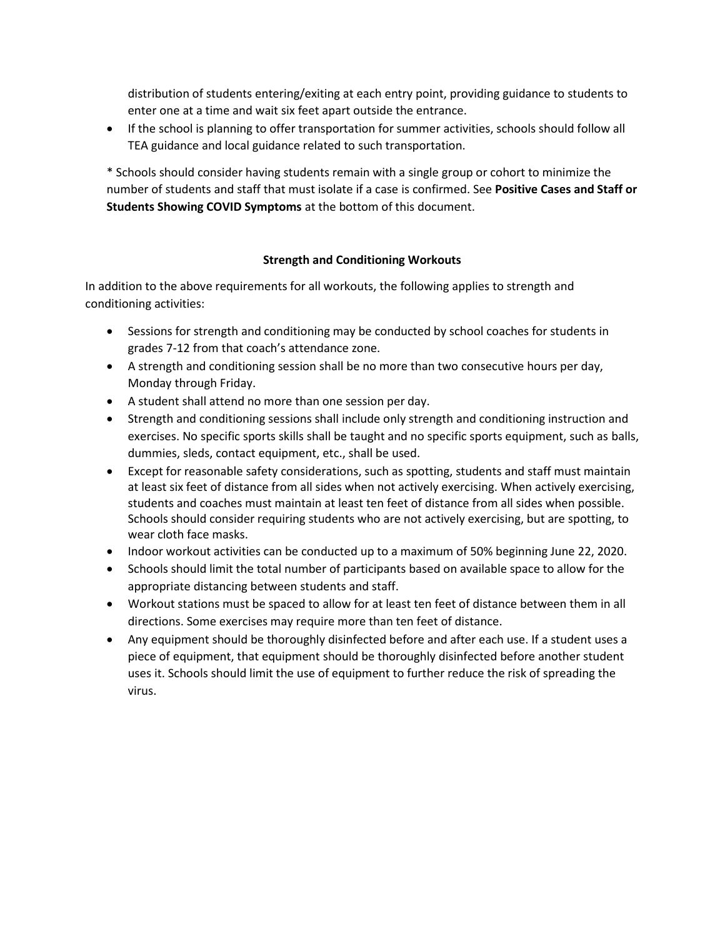distribution of students entering/exiting at each entry point, providing guidance to students to enter one at a time and wait six feet apart outside the entrance.

• If the school is planning to offer transportation for summer activities, schools should follow all TEA guidance and local guidance related to such transportation.

\* Schools should consider having students remain with a single group or cohort to minimize the number of students and staff that must isolate if a case is confirmed. See **Positive Cases and Staff or Students Showing COVID Symptoms** at the bottom of this document.

### **Strength and Conditioning Workouts**

In addition to the above requirements for all workouts, the following applies to strength and conditioning activities:

- Sessions for strength and conditioning may be conducted by school coaches for students in grades 7-12 from that coach's attendance zone.
- A strength and conditioning session shall be no more than two consecutive hours per day, Monday through Friday.
- A student shall attend no more than one session per day.
- Strength and conditioning sessions shall include only strength and conditioning instruction and exercises. No specific sports skills shall be taught and no specific sports equipment, such as balls, dummies, sleds, contact equipment, etc., shall be used.
- Except for reasonable safety considerations, such as spotting, students and staff must maintain at least six feet of distance from all sides when not actively exercising. When actively exercising, students and coaches must maintain at least ten feet of distance from all sides when possible. Schools should consider requiring students who are not actively exercising, but are spotting, to wear cloth face masks.
- Indoor workout activities can be conducted up to a maximum of 50% beginning June 22, 2020.
- Schools should limit the total number of participants based on available space to allow for the appropriate distancing between students and staff.
- Workout stations must be spaced to allow for at least ten feet of distance between them in all directions. Some exercises may require more than ten feet of distance.
- Any equipment should be thoroughly disinfected before and after each use. If a student uses a piece of equipment, that equipment should be thoroughly disinfected before another student uses it. Schools should limit the use of equipment to further reduce the risk of spreading the virus.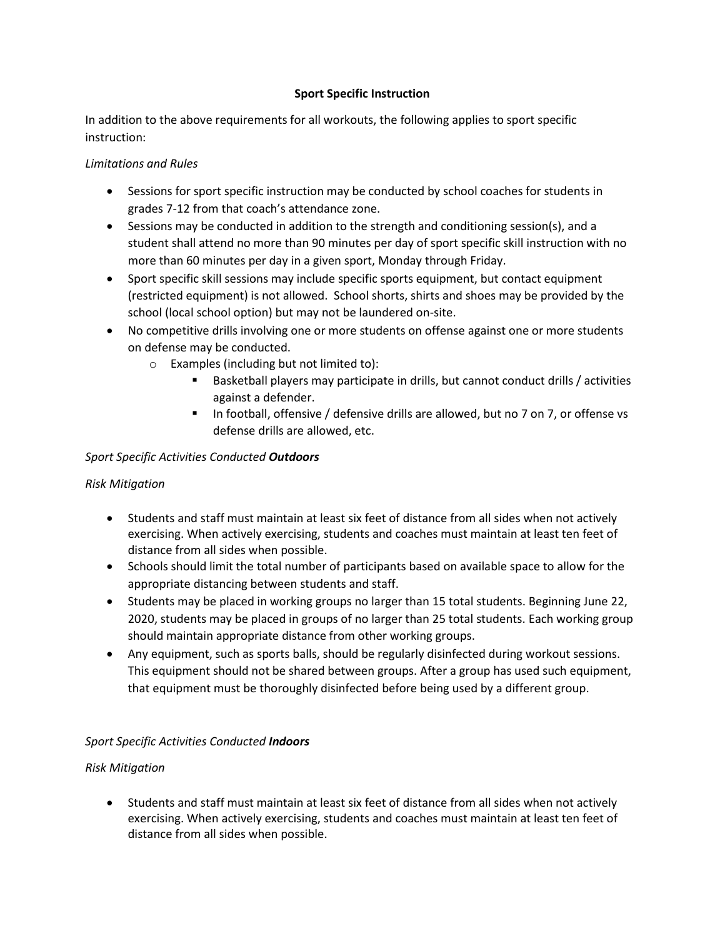# **Sport Specific Instruction**

In addition to the above requirements for all workouts, the following applies to sport specific instruction:

## *Limitations and Rules*

- Sessions for sport specific instruction may be conducted by school coaches for students in grades 7-12 from that coach's attendance zone.
- Sessions may be conducted in addition to the strength and conditioning session(s), and a student shall attend no more than 90 minutes per day of sport specific skill instruction with no more than 60 minutes per day in a given sport, Monday through Friday.
- Sport specific skill sessions may include specific sports equipment, but contact equipment (restricted equipment) is not allowed. School shorts, shirts and shoes may be provided by the school (local school option) but may not be laundered on-site.
- No competitive drills involving one or more students on offense against one or more students on defense may be conducted.
	- o Examples (including but not limited to):
		- Basketball players may participate in drills, but cannot conduct drills / activities against a defender.
		- In football, offensive / defensive drills are allowed, but no 7 on 7, or offense vs defense drills are allowed, etc.

# *Sport Specific Activities Conducted Outdoors*

# *Risk Mitigation*

- Students and staff must maintain at least six feet of distance from all sides when not actively exercising. When actively exercising, students and coaches must maintain at least ten feet of distance from all sides when possible.
- Schools should limit the total number of participants based on available space to allow for the appropriate distancing between students and staff.
- Students may be placed in working groups no larger than 15 total students. Beginning June 22, 2020, students may be placed in groups of no larger than 25 total students. Each working group should maintain appropriate distance from other working groups.
- Any equipment, such as sports balls, should be regularly disinfected during workout sessions. This equipment should not be shared between groups. After a group has used such equipment, that equipment must be thoroughly disinfected before being used by a different group.

# *Sport Specific Activities Conducted Indoors*

# *Risk Mitigation*

• Students and staff must maintain at least six feet of distance from all sides when not actively exercising. When actively exercising, students and coaches must maintain at least ten feet of distance from all sides when possible.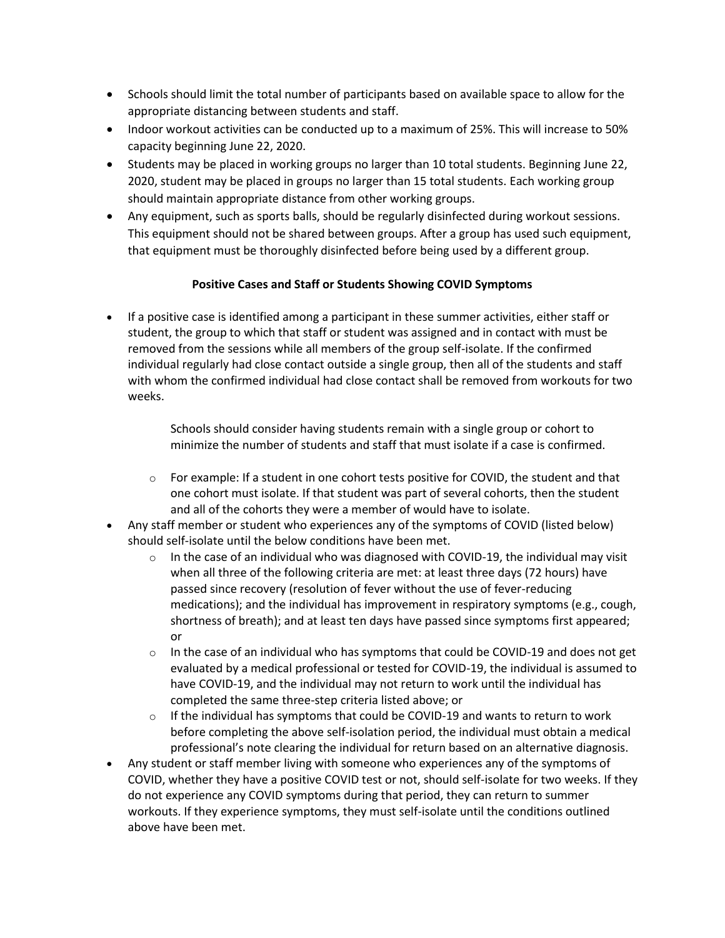- Schools should limit the total number of participants based on available space to allow for the appropriate distancing between students and staff.
- Indoor workout activities can be conducted up to a maximum of 25%. This will increase to 50% capacity beginning June 22, 2020.
- Students may be placed in working groups no larger than 10 total students. Beginning June 22, 2020, student may be placed in groups no larger than 15 total students. Each working group should maintain appropriate distance from other working groups.
- Any equipment, such as sports balls, should be regularly disinfected during workout sessions. This equipment should not be shared between groups. After a group has used such equipment, that equipment must be thoroughly disinfected before being used by a different group.

# **Positive Cases and Staff or Students Showing COVID Symptoms**

• If a positive case is identified among a participant in these summer activities, either staff or student, the group to which that staff or student was assigned and in contact with must be removed from the sessions while all members of the group self-isolate. If the confirmed individual regularly had close contact outside a single group, then all of the students and staff with whom the confirmed individual had close contact shall be removed from workouts for two weeks.

> Schools should consider having students remain with a single group or cohort to minimize the number of students and staff that must isolate if a case is confirmed.

- $\circ$  For example: If a student in one cohort tests positive for COVID, the student and that one cohort must isolate. If that student was part of several cohorts, then the student and all of the cohorts they were a member of would have to isolate.
- Any staff member or student who experiences any of the symptoms of COVID (listed below) should self-isolate until the below conditions have been met.
	- $\circ$  In the case of an individual who was diagnosed with COVID-19, the individual may visit when all three of the following criteria are met: at least three days (72 hours) have passed since recovery (resolution of fever without the use of fever-reducing medications); and the individual has improvement in respiratory symptoms (e.g., cough, shortness of breath); and at least ten days have passed since symptoms first appeared; or
	- $\circ$  In the case of an individual who has symptoms that could be COVID-19 and does not get evaluated by a medical professional or tested for COVID-19, the individual is assumed to have COVID-19, and the individual may not return to work until the individual has completed the same three-step criteria listed above; or
	- $\circ$  If the individual has symptoms that could be COVID-19 and wants to return to work before completing the above self-isolation period, the individual must obtain a medical professional's note clearing the individual for return based on an alternative diagnosis.
- Any student or staff member living with someone who experiences any of the symptoms of COVID, whether they have a positive COVID test or not, should self-isolate for two weeks. If they do not experience any COVID symptoms during that period, they can return to summer workouts. If they experience symptoms, they must self-isolate until the conditions outlined above have been met.